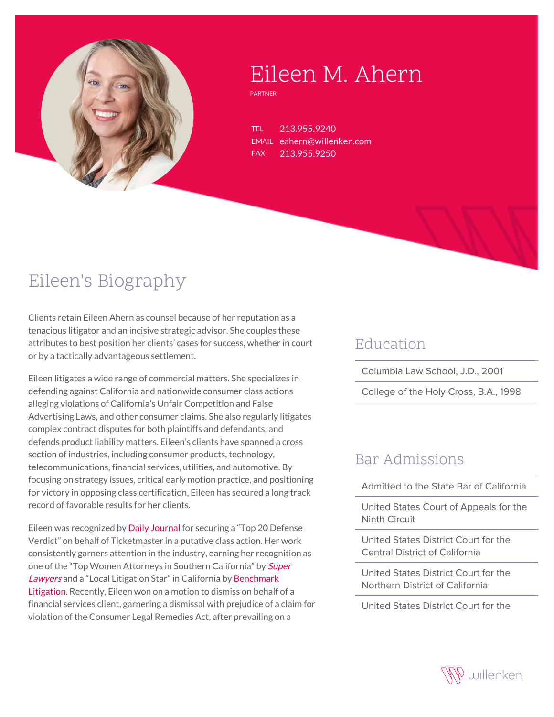

# Eileen M. Ahern

PARTNER

TEL 213.955.9240 EMAIL eahern@willenken.com FAX 213.955.9250

## Eileen's Biography

Clients retain Eileen Ahern as counsel because of her reputation as a tenacious litigator and an incisive strategic advisor. She couples these attributes to best position her clients' cases for success, whether in court or by a tactically advantageous settlement.

Eileen litigates a wide range of commercial matters. She specializes in defending against California and nationwide consumer class actions alleging violations of California's Unfair Competition and False Advertising Laws, and other consumer claims. She also regularly litigates complex contract disputes for both plaintiffs and defendants, and defends product liability matters. Eileen's clients have spanned a cross section of industries, including consumer products, technology, telecommunications, financial services, utilities, and automotive. By focusing on strategy issues, critical early motion practice, and positioning for victory in opposing class certification, Eileen has secured a long track record of favorable results for her clients.

Eileen was recognized by [Daily Journal](https://willenken.com/wp-content/uploads/2019/12/Daily-Journal-Top-Verdicts-of-2014-Luko-v.-Ticketmaster.pdf) for securing a "Top 20 Defense Verdict" on behalf of Ticketmaster in a putative class action. Her work consistently garners attention in the industry, earning her recognition as one of the "Top Women Attorneys in Southern California" by **[Super](https://profiles.superlawyers.com/california-southern/los-angeles/lawyer/eileen-m-ahern/87479340-025e-43be-9bc4-7386efddde1a.html)** [Lawyers](https://profiles.superlawyers.com/california-southern/los-angeles/lawyer/eileen-m-ahern/87479340-025e-43be-9bc4-7386efddde1a.html) and a "Local Litigation Star" in California by [Benchmark](https://benchmarklitigation.com/Firm/Willenken-California/Profile/109012#lawyers) [Litigation.](https://benchmarklitigation.com/Firm/Willenken-California/Profile/109012#lawyers) Recently, Eileen won on a motion to dismiss on behalf of a financial services client, garnering a dismissal with prejudice of a claim for violation of the Consumer Legal Remedies Act, after prevailing on a

#### Education

Columbia Law School, J.D., 2001

College of the Holy Cross, B.A., 1998

#### Bar Admissions

Admitted to the State Bar of California

United States Court of Appeals for the Ninth Circuit

United States District Court for the Central District of California

United States District Court for the Northern District of California

United States District Court for the

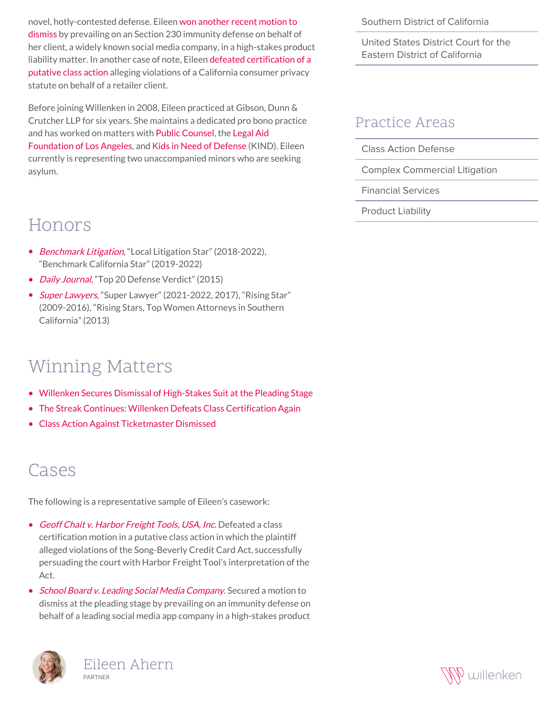novel, hotly-contested defense. Eileen [won another recent motion to](https://willenken.com/winning-matters/willenken-secures-dismissal-of-high-stakes-suit-at-the-pleading-stage/) [dismiss](https://willenken.com/winning-matters/willenken-secures-dismissal-of-high-stakes-suit-at-the-pleading-stage/) by prevailing on an Section 230 immunity defense on behalf of her client, a widely known social media company, in a high-stakes product liability matter. In another case of note, Eileen [defeated certification of a](https://willenken.com/winning-matters/the-streak-continues-willenken-defeats-class-certification-again/) [putative class action](https://willenken.com/winning-matters/the-streak-continues-willenken-defeats-class-certification-again/) alleging violations of a California consumer privacy statute on behalf of a retailer client.

Before joining Willenken in 2008, Eileen practiced at Gibson, Dunn & Crutcher LLP for six years. She maintains a dedicated pro bono practice and has worked on matters with [Public Counsel,](http://www.publiccounsel.org/) the [Legal Aid](https://lafla.org/) [Foundation of Los Angeles](https://lafla.org/), and [Kids in Need of Defense](https://supportkind.org/) (KIND). Eileen currently is representing two unaccompanied minors who are seeking asylum.

### Honors

- [Benchmark Litigation](https://benchmarklitigation.com/Firm/Willenken-California/Profile/109012#lawyers), "Local Litigation Star" (2018-2022), "Benchmark California Star" (2019-2022)
- [Daily Journal](http://willenken.com/wp-content/uploads/2019/12/Daily-Journal-Top-Verdicts-of-2014-Luko-v.-Ticketmaster.pdf), "Top 20 Defense Verdict" (2015)
- [Super Lawyers](https://profiles.superlawyers.com/california-southern/los-angeles/lawyer/eileen-m-ahern/87479340-025e-43be-9bc4-7386efddde1a.html), "Super Lawyer" (2021-2022, 2017), "Rising Star" (2009-2016), "Rising Stars, Top Women Attorneys in Southern California" (2013)

## Winning Matters

- [Willenken Secures Dismissal of High-Stakes Suit at the Pleading Stage](https://willenken.com/winning-matters/willenken-secures-dismissal-of-high-stakes-suit-at-the-pleading-stage/)
- [The Streak Continues: Willenken Defeats Class Certification Again](https://willenken.com/winning-matters/the-streak-continues-willenken-defeats-class-certification-again/)
- [Class Action Against Ticketmaster Dismissed](https://willenken.com/winning-matters/class-action-against-ticketmaster-dismissed/)

### Cases

The following is a representative sample of Eileen's casework:

- [Geoff Chait v. Harbor Freight Tools, USA, Inc](http://willenken.com/cases/geoff-chait-v-harbor-freight-tools-usa-inc/). Defeated a class certification motion in a putative class action in which the plaintiff alleged violations of the Song-Beverly Credit Card Act, successfully persuading the court with Harbor Freight Tool's interpretation of the Act.
- [School Board v. Leading Social Media Company](http://willenken.com/cases/school-board-v-leading-social-media-company/). Secured a motion to dismiss at the pleading stage by prevailing on an immunity defense on behalf of a leading social media app company in a high-stakes product



Southern District of California

United States District Court for the Eastern District of California

#### Practice Areas

Class Action Defense

Complex Commercial Litigation

Financial Services

Product Liability

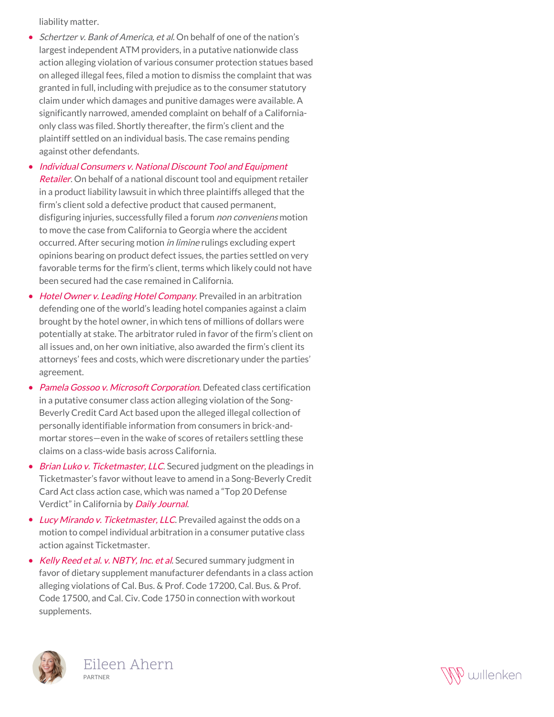liability matter.

• Schertzer v. Bank of America, et al. On behalf of one of the nation's largest independent ATM providers, in a putative nationwide class action alleging violation of various consumer protection statues based on alleged illegal fees, filed a motion to dismiss the complaint that was granted in full, including with prejudice as to the consumer statutory claim under which damages and punitive damages were available. A significantly narrowed, amended complaint on behalf of a Californiaonly class was filed. Shortly thereafter, the firm's client and the plaintiff settled on an individual basis. The case remains pending against other defendants.

• [Individual Consumers v. National Discount Tool and Equipment](http://willenken.com/cases/individual-consumers-v-national-discount-tool-and-equipment-retailer/) [Retailer](http://willenken.com/cases/individual-consumers-v-national-discount-tool-and-equipment-retailer/). On behalf of a national discount tool and equipment retailer in a product liability lawsuit in which three plaintiffs alleged that the firm's client sold a defective product that caused permanent, disfiguring injuries, successfully filed a forum *non conveniens* motion to move the case from California to Georgia where the accident occurred. After securing motion in limine rulings excluding expert opinions bearing on product defect issues, the parties settled on very favorable terms for the firm's client, terms which likely could not have been secured had the case remained in California.

- [Hotel Owner v. Leading Hotel Company](http://willenken.com/cases/hotel-owner-v-leading-hotel-company/). Prevailed in an arbitration defending one of the world's leading hotel companies against a claim brought by the hotel owner, in which tens of millions of dollars were potentially at stake. The arbitrator ruled in favor of the firm's client on all issues and, on her own initiative, also awarded the firm's client its attorneys' fees and costs, which were discretionary under the parties' agreement.
- [Pamela Gossoo v. Microsoft Corporation](http://willenken.com/cases/pamela-gossoo-v-microsoft-corporation/). Defeated class certification in a putative consumer class action alleging violation of the Song-Beverly Credit Card Act based upon the alleged illegal collection of personally identifiable information from consumers in brick-andmortar stores—even in the wake of scores of retailers settling these claims on a class-wide basis across California.
- [Brian Luko v. Ticketmaster, LLC](http://willenken.com/cases/brian-luko-v-ticketmaster-llc/). Secured judgment on the pleadings in Ticketmaster's favor without leave to amend in a Song-Beverly Credit Card Act class action case, which was named a "Top 20 Defense Verdict" in California by [Daily Journal](http://willenken.com/wp-content/uploads/2019/12/Daily-Journal-Top-Verdicts-of-2014-Luko-v.-Ticketmaster.pdf).
- [Lucy Mirando v. Ticketmaster, LLC](http://willenken.com/cases/lucy-mirando-et-al-v-ticketmaster-llc/). Prevailed against the odds on a motion to compel individual arbitration in a consumer putative class action against Ticketmaster.
- [Kelly Reed et al. v. NBTY, Inc. et al](http://willenken.com/cases/kelly-reed-et-al-v-nbty-inc-et-al/). Secured summary judgment in favor of dietary supplement manufacturer defendants in a class action alleging violations of Cal. Bus. & Prof. Code 17200, Cal. Bus. & Prof. Code 17500, and Cal. Civ. Code 1750 in connection with workout supplements.



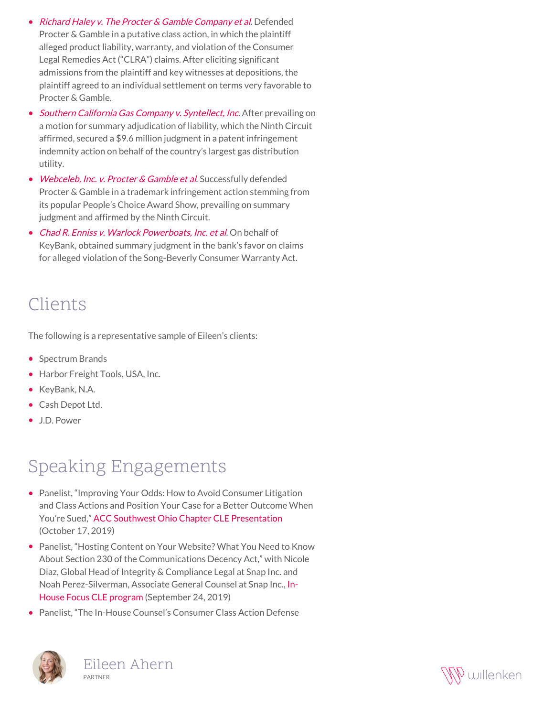- [Richard Haley v. The Procter & Gamble Company et al](http://willenken.com/cases/richard-haley-v-the-procter-gamble-company-et-al/). Defended Procter & Gamble in a putative class action, in which the plaintiff alleged product liability, warranty, and violation of the Consumer Legal Remedies Act ("CLRA") claims. After eliciting significant admissions from the plaintiff and key witnesses at depositions, the plaintiff agreed to an individual settlement on terms very favorable to Procter & Gamble.
- [Southern California Gas Company v. Syntellect, Inc](http://willenken.com/cases/southern-california-gas-company-v-syntellect-inc/). After prevailing on a motion for summary adjudication of liability, which the Ninth Circuit affirmed, secured a \$9.6 million judgment in a patent infringement indemnity action on behalf of the country's largest gas distribution utility.
- [Webceleb, Inc. v. Procter & Gamble et al](http://willenken.com/cases/webceleb-inc-v-the-procter-gamble-company-et-al/). Successfully defended Procter & Gamble in a trademark infringement action stemming from its popular People's Choice Award Show, prevailing on summary judgment and affirmed by the Ninth Circuit.
- [Chad R. Enniss v. Warlock Powerboats, Inc. et al](http://willenken.com/cases/chad-r-enniss-v-warlock-powerboats-inc-et-al/). On behalf of KeyBank, obtained summary judgment in the bank's favor on claims for alleged violation of the Song-Beverly Consumer Warranty Act.

### Clients

The following is a representative sample of Eileen's clients:

- Spectrum Brands
- Harbor Freight Tools, USA, Inc.
- KeyBank, N.A.
- Cash Depot Ltd.
- J.D. Power

## Speaking Engagements

- Panelist, "Improving Your Odds: How to Avoid Consumer Litigation and Class Actions and Position Your Case for a Better Outcome When You're Sued," [ACC Southwest Ohio Chapter CLE Presentation](http://willenken.com/event/improving-your-odds-how-to-avoid-consumer-litigation-and-class-actions-and-position-your-case-for-a-better-outcome-when-youre-sued/) (October 17, 2019)
- Panelist, "Hosting Content on Your Website? What You Need to Know About Section 230 of the Communications Decency Act," with Nicole Diaz, Global Head of Integrity & Compliance Legal at Snap Inc. and Noah Perez-Silverman, Associate General Counsel at Snap Inc., [In-](https://inhousefocus.com/program_catalog/hosting-content-on-your-website-what-you-need-to-know-about-section-230-of-the-communications-decency-act/)[House Focus CLE program](https://inhousefocus.com/program_catalog/hosting-content-on-your-website-what-you-need-to-know-about-section-230-of-the-communications-decency-act/) (September 24, 2019)
- Panelist, "The In-House Counsel's Consumer Class Action Defense